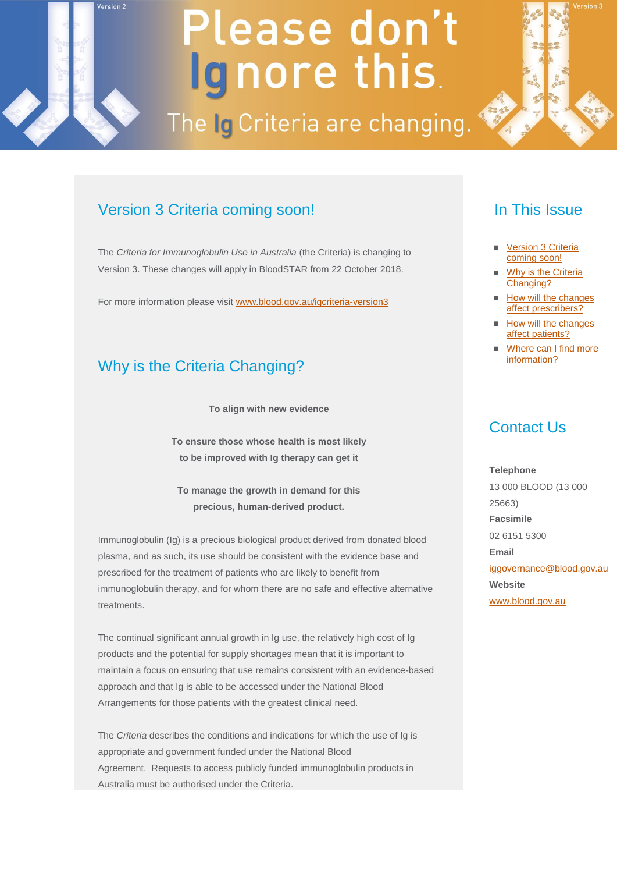# Please don't Ignore this.

The Ig Criteria are changing.

## Version 3 Criteria coming soon!

<span id="page-0-0"></span>Version 2

The *Criteria for Immunoglobulin Use in Australia* (the Criteria) is changing to Version 3. These changes will apply in BloodSTAR from 22 October 2018.

For more information please visi[t www.blood.gov.au/igcriteria-version3](http://email.synergymail.com.au/t/r-l-jjtruktk-urthbbv-k/)

## Why is the Criteria Changing?

**To align with new evidence**

**To ensure those whose health is most likely to be improved with Ig therapy can get it**

**To manage the growth in demand for this precious, human-derived product.**

Immunoglobulin (Ig) is a precious biological product derived from donated blood plasma, and as such, its use should be consistent with the evidence base and prescribed for the treatment of patients who are likely to benefit from immunoglobulin therapy, and for whom there are no safe and effective alternative treatments.

The continual significant annual growth in Ig use, the relatively high cost of Ig products and the potential for supply shortages mean that it is important to maintain a focus on ensuring that use remains consistent with an evidence-based approach and that Ig is able to be accessed under the National Blood Arrangements for those patients with the greatest clinical need.

The *Criteria* describes the conditions and indications for which the use of Ig is appropriate and government funded under the National Blood Agreement. Requests to access publicly funded immunoglobulin products in Australia must be authorised under the Criteria.

#### In This Issue

- Version 3 Criteria coming soon!
- [Why is the Criteria](#page-0-0)  [Changing?](#page-0-0)
- [How will the changes](#page-1-0)  [affect prescribers?](#page-1-0)
- [How will the changes](#page-1-0)  [affect patients?](#page-1-0)
- [Where can I find more](#page-2-0)  [information?](#page-2-0)

#### Contact Us

**Telephone** 13 000 BLOOD (13 000 25663) **Facsimile** 02 6151 5300 **Email** [iggovernance@blood.gov.au](mailto:support@blood.gov.au) **Website** [www.blood.gov.au](http://email.synergymail.com.au/t/r-l-jjtruktk-urthbbv-p/)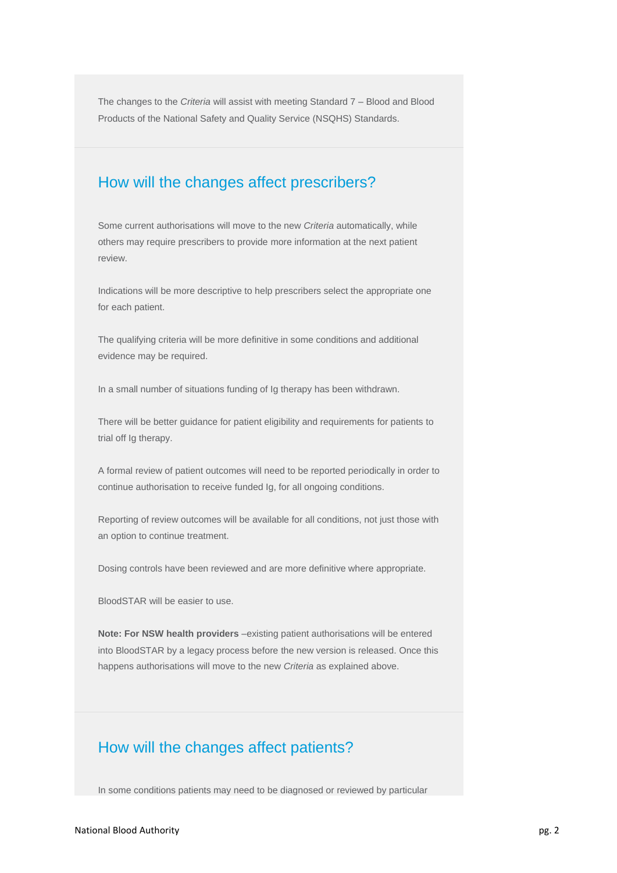<span id="page-1-0"></span>The changes to the *Criteria* will assist with meeting Standard 7 – Blood and Blood Products of the National Safety and Quality Service (NSQHS) Standards.

#### How will the changes affect prescribers?

Some current authorisations will move to the new *Criteria* automatically, while others may require prescribers to provide more information at the next patient review.

Indications will be more descriptive to help prescribers select the appropriate one for each patient.

The qualifying criteria will be more definitive in some conditions and additional evidence may be required.

In a small number of situations funding of Ig therapy has been withdrawn.

There will be better guidance for patient eligibility and requirements for patients to trial off Ig therapy.

A formal review of patient outcomes will need to be reported periodically in order to continue authorisation to receive funded Ig, for all ongoing conditions.

Reporting of review outcomes will be available for all conditions, not just those with an option to continue treatment.

Dosing controls have been reviewed and are more definitive where appropriate.

BloodSTAR will be easier to use.

**Note: For NSW health providers** –existing patient authorisations will be entered into BloodSTAR by a legacy process before the new version is released. Once this happens authorisations will move to the new *Criteria* as explained above.

## How will the changes affect patients?

In some conditions patients may need to be diagnosed or reviewed by particular